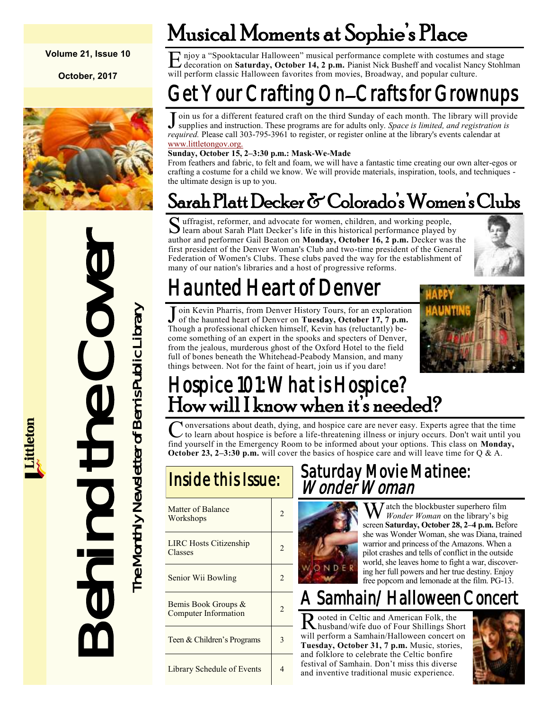#### **Volume 21, Issue 10**

**October, 2017**



Deal Behind and perform of Women Sank Platt Deal<br>
First president of the Denver Women's Chubs.<br>
For the hand the core Women's Chuba Public Library<br>
Malunted Head<br>
Ton the jealbas, murderous showed heart of Denver The Compa

## Musical Moments at Sophie's Place

E njoy a "Spooktacular Halloween" musical performance complete with costumes and stage<br>decoration on **Saturday, October 14, 2 p.m.** Pianist Nick Busheff and vocalist Nancy Stohlman njoy a "Spooktacular Halloween" musical performance complete with costumes and stage will perform classic Halloween favorites from movies, Broadway, and popular culture.

## Get Your Crafting On–Crafts for Grownups

J oin us for a different featured craft on the third Sunday of each month. The library will provide supplies and instruction. These programs are for adults only. *Space is limited, and registration is* oin us for a different featured craft on the third Sunday of each month. The library will provide *required.* Please call 303-795-3961 to register, or register online at the library's events calendar at [www.littletongov.org.](https://www.littletongov.org/city-services/city-departments/bemis-library/library-events-calendar)

#### **Sunday, October 15, 2–3:30 p.m.: Mask-We-Made**

From feathers and fabric, to felt and foam, we will have a fantastic time creating our own alter-egos or crafting a costume for a child we know. We will provide materials, inspiration, tools, and techniques the ultimate design is up to you.

### Sarah Platt Decker & Colorado's Women's Clubs

Suffragist, reformer, and advocate for women, children, and working people, learn about Sarah Platt Decker's life in this historical performance played by learn about Sarah Platt Decker's life in this historical performance played by author and performer Gail Beaton on **Monday, October 16, 2 p.m.** Decker was the first president of the Denver Woman's Club and two-time president of the General Federation of Women's Clubs. These clubs paved the way for the establishment of many of our nation's libraries and a host of progressive reforms.



## launted Heart of Denver

J oin Kevin Pharris, from Denver History Tours, for an exploration<br>of the haunted heart of Denver on Tuesday, October 17, 7 p.m. of the haunted heart of Denver on **Tuesday, October 17, 7 p.m.**  Though a professional chicken himself, Kevin has (reluctantly) become something of an expert in the spooks and specters of Denver, from the jealous, murderous ghost of the Oxford Hotel to the field full of bones beneath the Whitehead-Peabody Mansion, and many things between. Not for the faint of heart, join us if you dare!



### Hospice 101: What is Hospice? How will I know when it's needed?

 $\overline{C}$ onversations about death, dying, and hospice care are never easy. Experts agree that the time to learn about hospice is before a life-threatening illness or injury occurs. Don't wait until you find yourself in the Emergency Room to be informed about your options. This class on **Monday, October 23, 2–3:30 p.m.** will cover the basics of hospice care and will leave time for Q & A.

| Matter of Balance<br>Workshops                     | $\mathfrak{D}$ |
|----------------------------------------------------|----------------|
| <b>LIRC Hosts Citizenship</b><br>Classes           | $\mathfrak{D}$ |
| Senior Wii Bowling                                 | $\mathfrak{D}$ |
| Bemis Book Groups &<br><b>Computer Information</b> | $\mathfrak{D}$ |
| Teen & Children's Programs                         | 3              |
| Library Schedule of Events                         | 4              |

#### Saturday Movie Matinee: Wonder Woman



 $\sum_{\text{W}}$  atch the blockbuster superhero film *Wonder Woman* on the library's big screen **Saturday, October 28, 2–4 p.m.** Before she was Wonder Woman, she was Diana, trained warrior and princess of the Amazons. When a pilot crashes and tells of conflict in the outside world, she leaves home to fight a war, discovering her full powers and her true destiny. Enjoy free popcorn and lemonade at the film. PG-13.

### Samhain/Halloween Concert

R ooted in Celtic and American Folk, the<br>
Husband/wife duo of Four Shillings Short ooted in Celtic and American Folk, the will perform a Samhain/Halloween concert on **Tuesday, October 31, 7 p.m.** Music, stories, and folklore to celebrate the Celtic bonfire festival of Samhain. Don't miss this diverse and inventive traditional music experience.

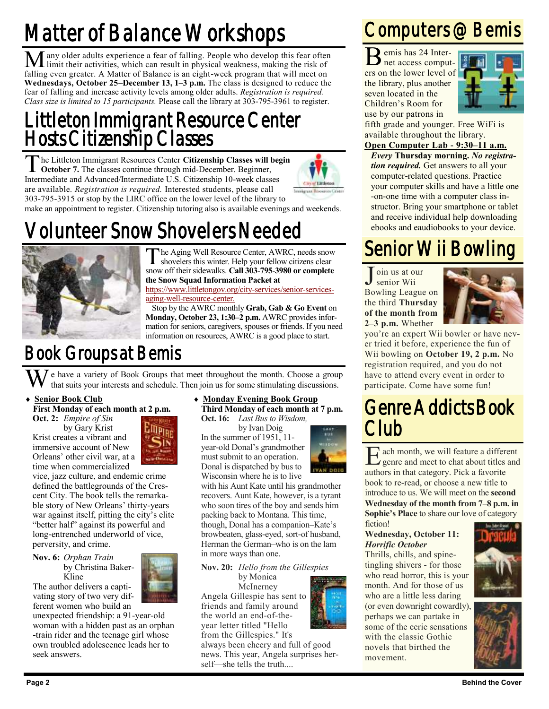## Matter of Balance Workshops

Many older adults experience a fear of falling. People who develop this fear often limit their activities, which can result in physical weakness, making the risk of falling even greater. A Matter of Balance is an eight-week program that will meet on **Wednesdays, October 25–December 13, 1–3 p.m.** The class is designed to reduce the fear of falling and increase activity levels among older adults. *Registration is required. Class size is limited to 15 participants.* Please call the library at 303-795-3961 to register.

#### Littleton Immigrant Resource Center Hosts Citizenship Classes

The Littleton Immigrant Resources Center Citizenship Classes will begin October 7. The classes continue through mid-December. Beginner, **October 7.** The classes continue through mid-December. Beginner, Intermediate and Advanced/Intermediate U.S. Citizenship 10-week classes are available. *Registration is required.* Interested students, please call 303-795-3915 or stop by the LIRC office on the lower level of the library to make an appointment to register. Citizenship tutoring also is available evenings and weekends.



## Volunteer Snow Shovelers Needed



The Aging Well Resource Center, AWRC, needs snow<br>shovelers this winter. Help your fellow citizens clear<br>snow off their sidewalks. Call 303-795-3980 or complete he Aging Well Resource Center, AWRC, needs snow shovelers this winter. Help your fellow citizens clear **the Snow Squad Information Packet at** 

[https://www.littletongov.org/city-services/senior-services](https://www.littletongov.org/city-services/senior-services-aging-well-resource-center)[aging-well-resource-center.](https://www.littletongov.org/city-services/senior-services-aging-well-resource-center)

Stop by the AWRC monthly **Grab, Gab & Go Event** on **Monday, October 23, 1:30–2 p.m.** AWRC provides information for seniors, caregivers, spouses or friends. If you need information on resources, AWRC is a good place to start.

### Book Groups at Bemis

 $\overline{J}$  e have a variety of Book Groups that meet throughout the month. Choose a group that suits your interests and schedule. Then join us for some stimulating discussions.

#### **Senior Book Club**

**First Monday of each month at 2 p.m. Oct. 2:** *Empire of Sin*

by Gary Krist Krist creates a vibrant and immersive account of New Orleans' other civil war, at a time when commercialized

vice, jazz culture, and endemic crime defined the battlegrounds of the Crescent City. The book tells the remarkable story of New Orleans' thirty-years war against itself, pitting the city's elite "better half" against its powerful and long-entrenched underworld of vice, perversity, and crime.

**Nov. 6:** *Orphan Train* by Christina Baker-Kline

The author delivers a captivating story of two very different women who build an

unexpected friendship: a 91-year-old woman with a hidden past as an orphan -train rider and the teenage girl whose own troubled adolescence leads her to seek answers.

#### **Monday Evening Book Group**

**Third Monday of each month at 7 p.m. Oct. 16:** *Last Bus to Wisdom,*

by Ivan Doig In the summer of 1951, 11 year-old Donal's grandmother must submit to an operation. Donal is dispatched by bus to Wisconsin where he is to live



with his Aunt Kate until his grandmother recovers. Aunt Kate, however, is a tyrant who soon tires of the boy and sends him packing back to Montana. This time, though, Donal has a companion–Kate's browbeaten, glass-eyed, sort-of husband, Herman the German–who is on the lam in more ways than one.

**Nov. 20:** *Hello from the Gillespies*

by Monica McInerney Angela Gillespie has sent to friends and family around the world an end-of-theyear letter titled "Hello from the Gillespies." It's



always been cheery and full of good news. This year, Angela surprises herself—she tells the truth....

### Computers @ Bemis

B emis has 24 Inter-<br>
net access computemis has 24 Interers on the lower level of the library, plus another seven located in the Children's Room for use by our patrons in



fifth grade and younger. Free WiFi is available throughout the library.

#### **Open Computer Lab - 9:30–11 a.m.**

*Every* **Thursday morning.** *No registration required.* Get answers to all your computer-related questions. Practice your computer skills and have a little one -on-one time with a computer class instructor. Bring your smartphone or tablet and receive individual help downloading ebooks and eaudiobooks to your device.

### Senior Wii Bowling

J oin us at our senior Wii Bowling League on the third **Thursday of the month from 2–3 p.m.** Whether



you're an expert Wii bowler or have never tried it before, experience the fun of Wii bowling on **October 19, 2 p.m.** No registration required, and you do not have to attend every event in order to participate. Come have some fun!

### Genre Addicts Book Club

**E** ach month, we will feature a difference and meet to chat about titles authors in that category. Pick a favorite ach month, we will feature a different genre and meet to chat about titles and book to re-read, or choose a new title to introduce to us. We will meet on the **second Wednesday of the month from 7–8 p.m. in Sophie's Place** to share our love of category fiction!

#### **Wednesday, October 11:** *Horrific October*

Thrills, chills, and spinetingling shivers - for those who read horror, this is your month. And for those of us who are a little less daring (or even downright cowardly), perhaps we can partake in some of the eerie sensations with the classic Gothic novels that birthed the movement.



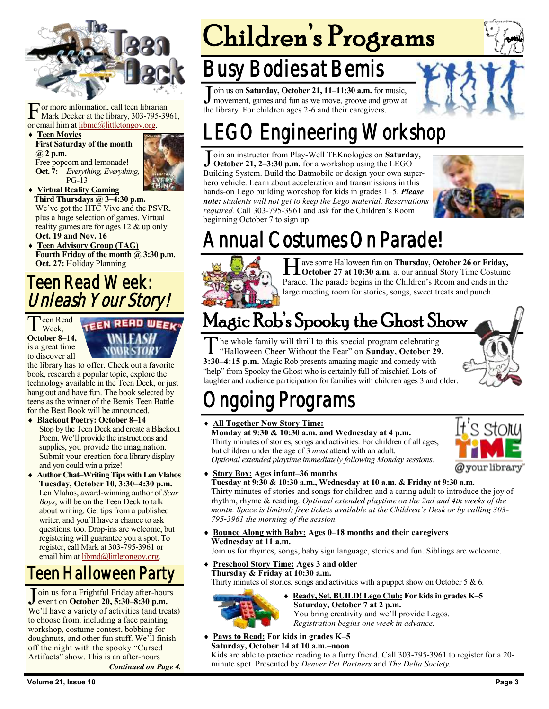

For more information, call teen librar<br>Mark Decker at the library, 303-795<br>or email him at <u>libmd@littletongov.org</u>. or more information, call teen librarian Mark Decker at the library, 303-795-3961,

 **Teen Movies First Saturday of the month @ 2 p.m.** Free popcorn and lemonade! **Oct. 7:** *Everything, Everything,* PG-13



 **Virtual Reality Gaming Third Thursdays @ 3–4:30 p.m.** We've got the HTC Vive and the PSVR, plus a huge selection of games. Virtual reality games are for ages 12 & up only. **Oct. 19 and Nov. 16**

 **Teen Advisory Group (TAG)** Fourth Friday of the month @ 3:30 p.m. **Oct. 27:** Holiday Planning

#### Teen Read Week: Unleash Your Story!

Teen Rea **Peen Read October 8–14,**  is a great time to discover all

**TEEN READ WEEK** 

the library has to offer. Check out a favorite book, research a popular topic, explore the technology available in the Teen Deck, or just hang out and have fun. The book selected by teens as the winner of the Bemis Teen Battle for the Best Book will be announced.

- **Blackout Poetry: October 8–14** Stop by the Teen Deck and create a Blackout Poem. We'll provide the instructions and supplies, you provide the imagination. Submit your creation for a library display and you could win a prize!
- **Author Chat–Writing Tips with Len Vlahos Tuesday, October 10, 3:30–4:30 p.m.** Len Vlahos, award-winning author of *Scar Boys*, will be on the Teen Deck to talk about writing. Get tips from a published writer, and you'll have a chance to ask questions, too. Drop-ins are welcome, but registering will guarantee you a spot. To register, call Mark at 303-795-3961 or email him at [libmd@littletongov.org.](mailto:libmd@littletongov.org)

### Teen Halloween Party

Join us for a Frightful Friday after-hour<br>event on **October 20, 5:30–8:30 p.m.** oin us for a Frightful Friday after-hours We'll have a variety of activities (and treats) to choose from, including a face painting workshop, costume contest, bobbing for doughnuts, and other fun stuff. We'll finish off the night with the spooky "Cursed Artifacts" show. This is an after-hours

*Continued on Page 4.*

# Children's Programs

### usy Bodies at Bemis

Join us on **Saturday, October 21, 11–11:30 a.m.** for a movement, games and fun as we move, groove and g the library. For children ages 2-6 and their caregivers. oin us on **Saturday, October 21, 11–11:30 a.m.** for music, movement, games and fun as we move, groove and grow at



Join an instructor from Play-Well TEKnologies on **Saturday**,<br>October 21, 2–3:30 p.m. for a workshop using the LEGO<br>Building System. Build the Batmobile or design your own superoin an instructor from Play-Well TEKnologies on **Saturday, October 21, 2–3:30 p.m.** for a workshop using the LEGO hero vehicle. Learn about acceleration and transmissions in this hands-on Lego building workshop for kids in grades 1–5. *Please note: students will not get to keep the Lego material. Reservations required.* Call 303-795-3961 and ask for the Children's Room beginning October 7 to sign up.



## Annual Costumes On Parade!



Helphaves ome Halloween fun on **Thursday, October 26 or Friday,**<br> **Coctober 27 at 10:30 a.m.** at our annual Story Time Costume **October 27 at 10:30 a.m.** at our annual Story Time Costume Parade. The parade begins in the Children's Room and ends in the large meeting room for stories, songs, sweet treats and punch.

## Magic Rob's Spooky the Ghost Show

T he whole family will thrill to this special program celebrating "Halloween Cheer Without the Fear" on **Sunday, October 29, 3:30–4:15 p.m.** Magic Rob presents amazing magic and comedy with "help" from Spooky the Ghost who is certainly full of mischief. Lots of laughter and audience participation for families with children ages 3 and older.



## ngoing Programs

 **All Together Now Story Time: Monday at 9:30 & 10:30 a.m. and Wednesday at 4 p.m.** Thirty minutes of stories, songs and activities. For children of all ages, but children under the age of 3 *must* attend with an adult. *Optional extended playtime immediately following Monday sessions.*



**Story Box: Ages infant–36 months**

**Tuesday at 9:30 & 10:30 a.m., Wednesday at 10 a.m. & Friday at 9:30 a.m.** Thirty minutes of stories and songs for children and a caring adult to introduce the joy of rhythm, rhyme & reading. *Optional extended playtime on the 2nd and 4th weeks of the month. Space is limited; free tickets available at the Children's Desk or by calling 303- 795-3961 the morning of the session.*

 **Bounce Along with Baby: Ages 0–18 months and their caregivers Wednesday at 11 a.m.**

Join us for rhymes, songs, baby sign language, stories and fun. Siblings are welcome.

 **Preschool Story Time: Ages 3 and older Thursday & Friday at 10:30 a.m.** Thirty minutes of stories, songs and activities with a puppet show on October 5 & 6*.*



- **Ready, Set, BUILD! Lego Club: For kids in grades K–5 Saturday, October 7 at 2 p.m.** You bring creativity and we'll provide Legos. *Registration begins one week in advance.*
- **Paws to Read: For kids in grades K–5 Saturday, October 14 at 10 a.m.–noon** Kids are able to practice reading to a furry friend. Call 303-795-3961 to register for a 20 minute spot. Presented by *Denver Pet Partners* and *The Delta Society.*